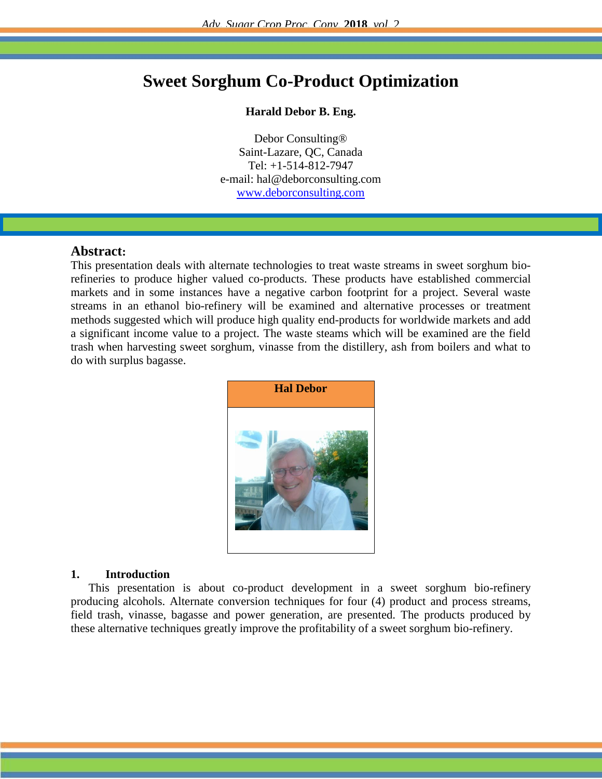# **Sweet Sorghum Co-Product Optimization**

#### **Harald Debor B. Eng.**

Debor Consulting® Saint-Lazare, QC, Canada Tel: +1-514-812-7947 e-mail: hal@deborconsulting.com [www.deborconsulting.com](http://www.deborconsulting.com/)

#### **Abstract:**

This presentation deals with alternate technologies to treat waste streams in sweet sorghum biorefineries to produce higher valued co-products. These products have established commercial markets and in some instances have a negative carbon footprint for a project. Several waste streams in an ethanol bio-refinery will be examined and alternative processes or treatment methods suggested which will produce high quality end-products for worldwide markets and add a significant income value to a project. The waste steams which will be examined are the field trash when harvesting sweet sorghum, vinasse from the distillery, ash from boilers and what to do with surplus bagasse.



#### **1. Introduction**

This presentation is about co-product development in a sweet sorghum bio-refinery producing alcohols. Alternate conversion techniques for four (4) product and process streams, field trash, vinasse, bagasse and power generation, are presented. The products produced by these alternative techniques greatly improve the profitability of a sweet sorghum bio-refinery.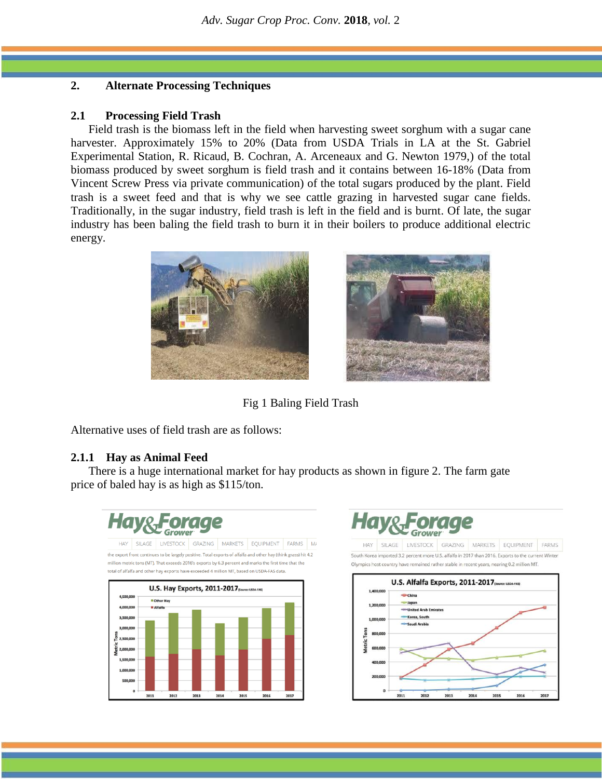# **2. Alternate Processing Techniques**

#### **2.1 Processing Field Trash**

Field trash is the biomass left in the field when harvesting sweet sorghum with a sugar cane harvester. Approximately 15% to 20% (Data from USDA Trials in LA at the St. Gabriel Experimental Station, R. Ricaud, B. Cochran, A. Arceneaux and G. Newton 1979,) of the total biomass produced by sweet sorghum is field trash and it contains between 16-18% (Data from Vincent Screw Press via private communication) of the total sugars produced by the plant. Field trash is a sweet feed and that is why we see cattle grazing in harvested sugar cane fields. Traditionally, in the sugar industry, field trash is left in the field and is burnt. Of late, the sugar industry has been baling the field trash to burn it in their boilers to produce additional electric energy.





Fig 1 Baling Field Trash

Alternative uses of field trash are as follows:

# **2.1.1 Hay as Animal Feed**

There is a huge international market for hay products as shown in figure 2. The farm gate price of baled hay is as high as \$115/ton.





HAY SILAGE LIVESTOCK GRAZING MARKETS EQUIPMENT FARMS .<br>South Korea imported 3.2 percent more U.S. alfalfa in 2017 than 2016. Exports to the current Winter Olympics host country have remained rather stable in recent years, nearing 0.2 million MT.

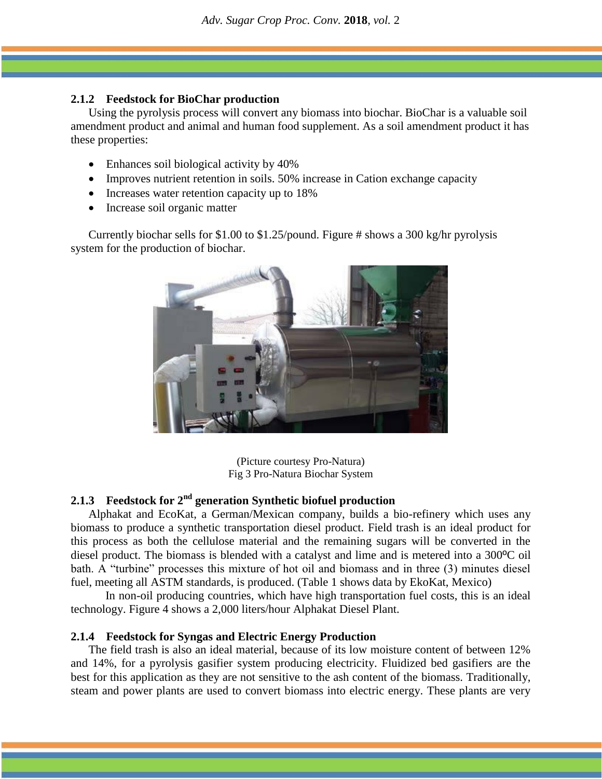# **2.1.2 Feedstock for BioChar production**

Using the pyrolysis process will convert any biomass into biochar. BioChar is a valuable soil amendment product and animal and human food supplement. As a soil amendment product it has these properties:

- Enhances soil biological activity by 40%
- Improves nutrient retention in soils. 50% increase in Cation exchange capacity
- Increases water retention capacity up to 18%
- Increase soil organic matter

Currently biochar sells for \$1.00 to \$1.25/pound. Figure # shows a 300 kg/hr pyrolysis system for the production of biochar.



(Picture courtesy Pro-Natura) Fig 3 Pro-Natura Biochar System

# **2.1.3 Feedstock for 2nd generation Synthetic biofuel production**

Alphakat and EcoKat, a German/Mexican company, builds a bio-refinery which uses any biomass to produce a synthetic transportation diesel product. Field trash is an ideal product for this process as both the cellulose material and the remaining sugars will be converted in the diesel product. The biomass is blended with a catalyst and lime and is metered into a 300ºC oil bath. A "turbine" processes this mixture of hot oil and biomass and in three (3) minutes diesel fuel, meeting all ASTM standards, is produced. (Table 1 shows data by EkoKat, Mexico)

In non-oil producing countries, which have high transportation fuel costs, this is an ideal technology. Figure 4 shows a 2,000 liters/hour Alphakat Diesel Plant.

# **2.1.4 Feedstock for Syngas and Electric Energy Production**

The field trash is also an ideal material, because of its low moisture content of between 12% and 14%, for a pyrolysis gasifier system producing electricity. Fluidized bed gasifiers are the best for this application as they are not sensitive to the ash content of the biomass. Traditionally, steam and power plants are used to convert biomass into electric energy. These plants are very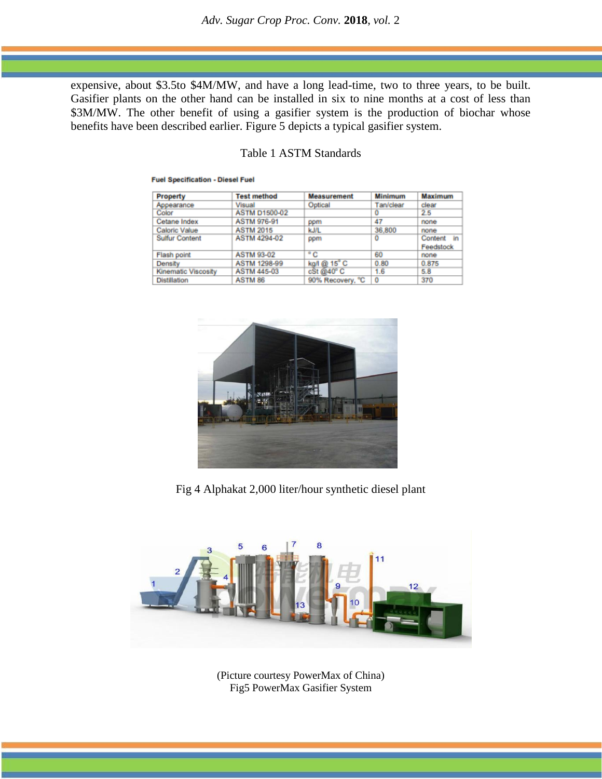expensive, about \$3.5to \$4M/MW, and have a long lead-time, two to three years, to be built. Gasifier plants on the other hand can be installed in six to nine months at a cost of less than \$3M/MW. The other benefit of using a gasifier system is the production of biochar whose benefits have been described earlier. Figure 5 depicts a typical gasifier system.

| Property                   | <b>Test method</b>   | <b>Measurement</b> | <b>Minimum</b> | Maximum       |
|----------------------------|----------------------|--------------------|----------------|---------------|
| Appearance                 | Visual               | Optical            | Tan/clear      | clear         |
| Color                      | <b>ASTM D1500-02</b> |                    | o              | 2.5           |
| Cetane Index               | <b>ASTM 976-91</b>   | ppm                | 47             | none          |
| Caloric Value              | <b>ASTM 2015</b>     | kJ/L               | 36,800         | none          |
| <b>Sulfur Content</b>      | <b>ASTM 4294-02</b>  | ppm                | o              | Content<br>in |
|                            |                      |                    |                | Feedstock     |
| Flash point                | <b>ASTM 93-02</b>    | $^{\circ}$ C       | 60             | none          |
| Density                    | <b>ASTM 1298-99</b>  | kg/l @ 15°C        | 0.80           | 0.875         |
| <b>Kinematic Viscosity</b> | <b>ASTM 445-03</b>   | cSt@40°C           | 1.6            | 5.8           |
| <b>Distillation</b>        | ASTM 86              | 90% Recovery, °C   | 0              | 370           |

# Table 1 ASTM Standards

**Fuel Specification - Diesel Fuel** 

Fig 4 Alphakat 2,000 liter/hour synthetic diesel plant



(Picture courtesy PowerMax of China) Fig5 PowerMax Gasifier System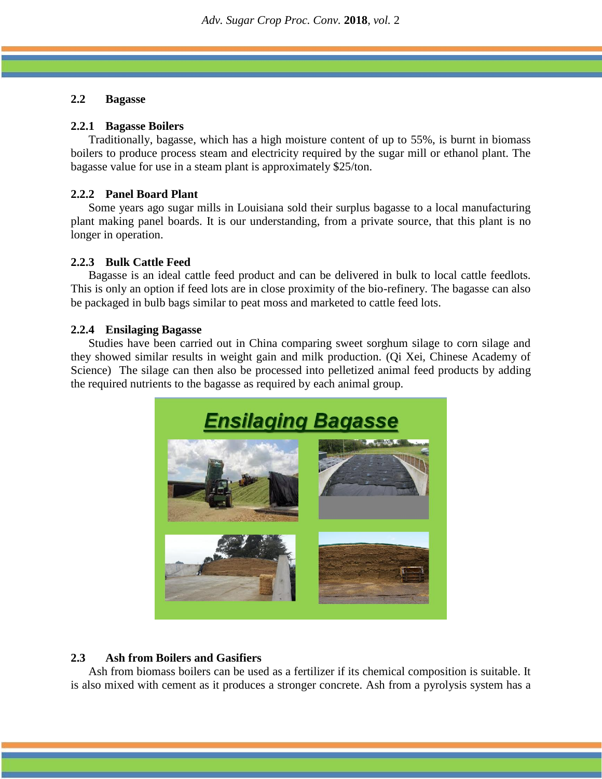# **2.2 Bagasse**

#### **2.2.1 Bagasse Boilers**

Traditionally, bagasse, which has a high moisture content of up to 55%, is burnt in biomass boilers to produce process steam and electricity required by the sugar mill or ethanol plant. The bagasse value for use in a steam plant is approximately \$25/ton.

## **2.2.2 Panel Board Plant**

Some years ago sugar mills in Louisiana sold their surplus bagasse to a local manufacturing plant making panel boards. It is our understanding, from a private source, that this plant is no longer in operation.

#### **2.2.3 Bulk Cattle Feed**

Bagasse is an ideal cattle feed product and can be delivered in bulk to local cattle feedlots. This is only an option if feed lots are in close proximity of the bio-refinery. The bagasse can also be packaged in bulb bags similar to peat moss and marketed to cattle feed lots.

#### **2.2.4 Ensilaging Bagasse**

Studies have been carried out in China comparing sweet sorghum silage to corn silage and they showed similar results in weight gain and milk production. (Qi Xei, Chinese Academy of Science) The silage can then also be processed into pelletized animal feed products by adding the required nutrients to the bagasse as required by each animal group.



# **2.3 Ash from Boilers and Gasifiers**

Ash from biomass boilers can be used as a fertilizer if its chemical composition is suitable. It is also mixed with cement as it produces a stronger concrete. Ash from a pyrolysis system has a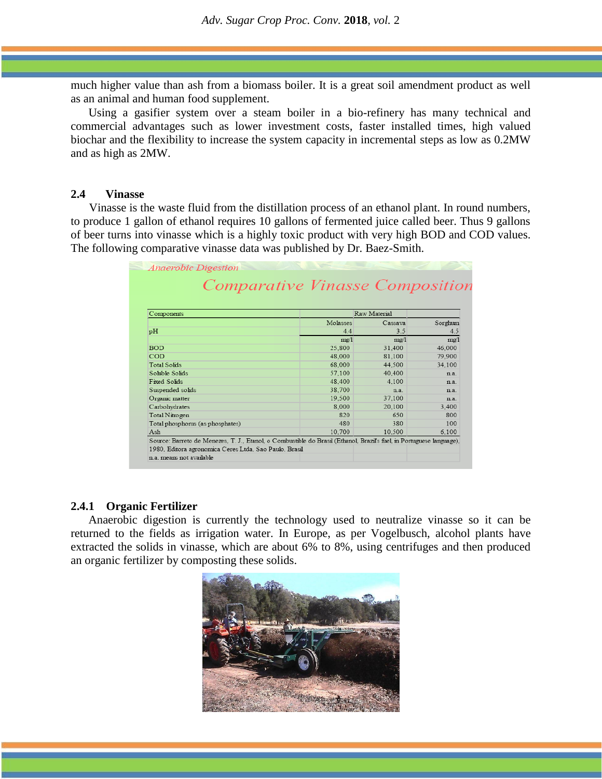much higher value than ash from a biomass boiler. It is a great soil amendment product as well as an animal and human food supplement.

Using a gasifier system over a steam boiler in a bio-refinery has many technical and commercial advantages such as lower investment costs, faster installed times, high valued biochar and the flexibility to increase the system capacity in incremental steps as low as 0.2MW and as high as 2MW.

#### **2.4 Vinasse**

Vinasse is the waste fluid from the distillation process of an ethanol plant. In round numbers, to produce 1 gallon of ethanol requires 10 gallons of fermented juice called beer. Thus 9 gallons of beer turns into vinasse which is a highly toxic product with very high BOD and COD values. The following comparative vinasse data was published by Dr. Baez-Smith.

|                                  | Comparative Vinasse Composition |         |         |  |  |
|----------------------------------|---------------------------------|---------|---------|--|--|
|                                  |                                 |         |         |  |  |
| Components                       | Raw Material                    |         |         |  |  |
|                                  | Molasses                        | Cassava | Sorghum |  |  |
| pH                               | 4.4                             | 3.5     | 4.5     |  |  |
|                                  | $m\text{g}/l$                   | $m\n 2$ | mg/1    |  |  |
| <b>BOD</b>                       | 25,800                          | 31.400  | 46,000  |  |  |
| COD                              | 48,000                          | 81.100  | 79,900  |  |  |
| <b>Total Solids</b>              | 68,000                          | 44.500  | 34.100  |  |  |
| Soluble Solids                   | 57,100                          | 40.400  | n.a.    |  |  |
| <b>Fixed Solids</b>              | 48.400                          | 4 1 0 0 | n a     |  |  |
| Suspended solids                 | 38.700                          | n.a.    | n a     |  |  |
| Organic matter                   | 19.500                          | 37.100  | n.a.    |  |  |
| Carbohydrates                    | 8,000                           | 20.100  | 3.400   |  |  |
| Total Nitrogen                   | 820                             | 650     | 800     |  |  |
| Total phosphorus (as phosphates) | 480                             | 380     | 100     |  |  |
| Ash                              | 10.700                          | 10.500  | 6.100   |  |  |

#### **2.4.1 Organic Fertilizer**

Anaerobic digestion is currently the technology used to neutralize vinasse so it can be returned to the fields as irrigation water. In Europe, as per Vogelbusch, alcohol plants have extracted the solids in vinasse, which are about 6% to 8%, using centrifuges and then produced an organic fertilizer by composting these solids.